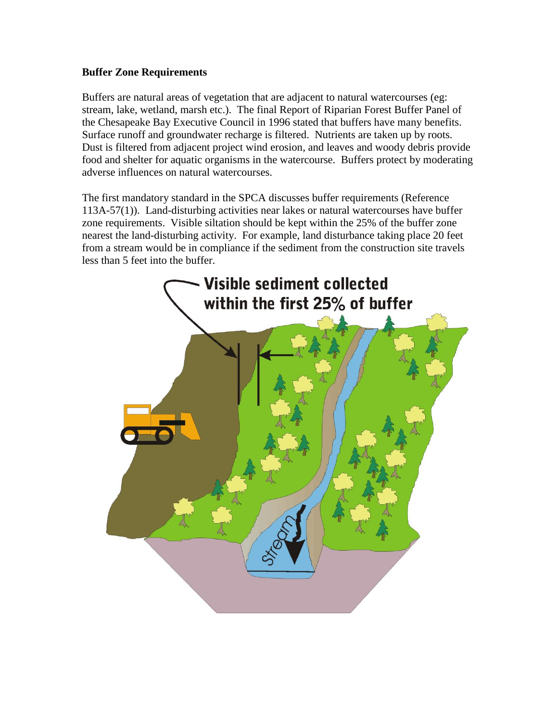# **Buffer Zone Requirements**

Buffers are natural areas of vegetation that are adjacent to natural watercourses (eg: stream, lake, wetland, marsh etc.). The final Report of Riparian Forest Buffer Panel of the Chesapeake Bay Executive Council in 1996 stated that buffers have many benefits. Surface runoff and groundwater recharge is filtered. Nutrients are taken up by roots. Dust is filtered from adjacent project wind erosion, and leaves and woody debris provide food and shelter for aquatic organisms in the watercourse. Buffers protect by moderating adverse influences on natural watercourses.

The first mandatory standard in the SPCA discusses buffer requirements (Reference 113A-57(1)). Land-disturbing activities near lakes or natural watercourses have buffer zone requirements. Visible siltation should be kept within the 25% of the buffer zone nearest the land-disturbing activity. For example, land disturbance taking place 20 feet from a stream would be in compliance if the sediment from the construction site travels less than 5 feet into the buffer.

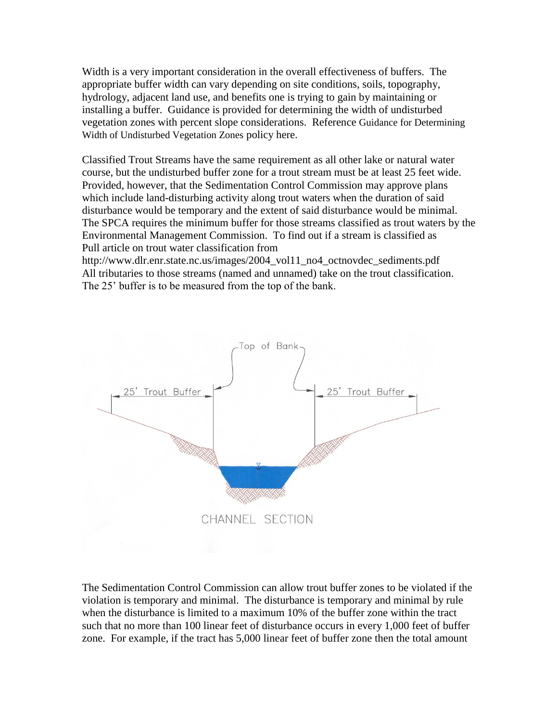Width is a very important consideration in the overall effectiveness of buffers. The appropriate buffer width can vary depending on site conditions, soils, topography, hydrology, adjacent land use, and benefits one is trying to gain by maintaining or installing a buffer. Guidance is provided for determining the width of undisturbed vegetation zones with percent slope considerations. Reference Guidance for Determining Width of Undisturbed Vegetation Zones policy here.

Classified Trout Streams have the same requirement as all other lake or natural water course, but the undisturbed buffer zone for a trout stream must be at least 25 feet wide. Provided, however, that the Sedimentation Control Commission may approve plans which include land-disturbing activity along trout waters when the duration of said disturbance would be temporary and the extent of said disturbance would be minimal. The SPCA requires the minimum buffer for those streams classified as trout waters by the Environmental Management Commission. To find out if a stream is classified as Pull article on trout water classification from

http://www.dlr.enr.state.nc.us/images/2004\_vol11\_no4\_octnovdec\_sediments.pdf All tributaries to those streams (named and unnamed) take on the trout classification. The 25' buffer is to be measured from the top of the bank.



The Sedimentation Control Commission can allow trout buffer zones to be violated if the violation is temporary and minimal. The disturbance is temporary and minimal by rule when the disturbance is limited to a maximum 10% of the buffer zone within the tract such that no more than 100 linear feet of disturbance occurs in every 1,000 feet of buffer zone. For example, if the tract has 5,000 linear feet of buffer zone then the total amount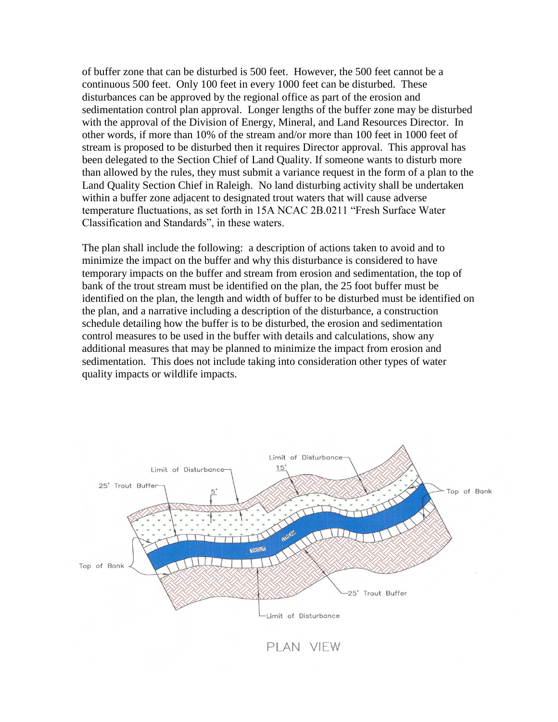of buffer zone that can be disturbed is 500 feet. However, the 500 feet cannot be a continuous 500 feet. Only 100 feet in every 1000 feet can be disturbed. These disturbances can be approved by the regional office as part of the erosion and sedimentation control plan approval. Longer lengths of the buffer zone may be disturbed with the approval of the Division of Energy, Mineral, and Land Resources Director. In other words, if more than 10% of the stream and/or more than 100 feet in 1000 feet of stream is proposed to be disturbed then it requires Director approval. This approval has been delegated to the Section Chief of Land Quality. If someone wants to disturb more than allowed by the rules, they must submit a variance request in the form of a plan to the Land Quality Section Chief in Raleigh. No land disturbing activity shall be undertaken within a buffer zone adjacent to designated trout waters that will cause adverse temperature fluctuations, as set forth in 15A NCAC 2B.0211 "Fresh Surface Water Classification and Standards", in these waters.

The plan shall include the following: a description of actions taken to avoid and to minimize the impact on the buffer and why this disturbance is considered to have temporary impacts on the buffer and stream from erosion and sedimentation, the top of bank of the trout stream must be identified on the plan, the 25 foot buffer must be identified on the plan, the length and width of buffer to be disturbed must be identified on the plan, and a narrative including a description of the disturbance, a construction schedule detailing how the buffer is to be disturbed, the erosion and sedimentation control measures to be used in the buffer with details and calculations, show any additional measures that may be planned to minimize the impact from erosion and sedimentation. This does not include taking into consideration other types of water quality impacts or wildlife impacts.



PLAN VIEW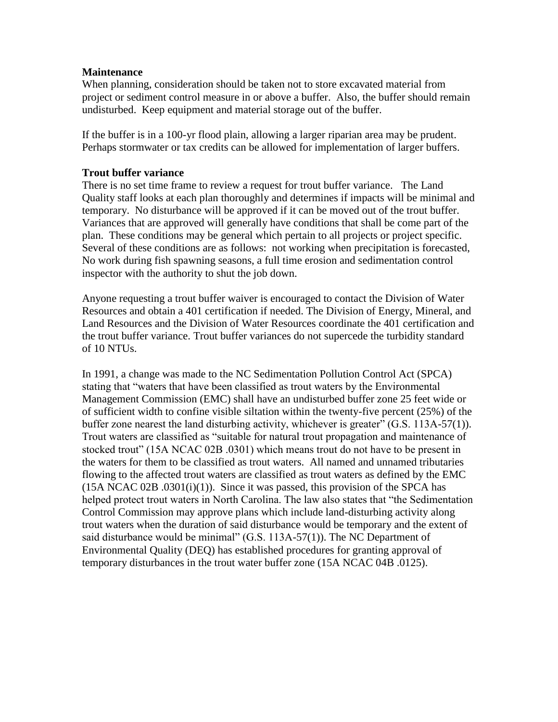## **Maintenance**

When planning, consideration should be taken not to store excavated material from project or sediment control measure in or above a buffer. Also, the buffer should remain undisturbed. Keep equipment and material storage out of the buffer.

If the buffer is in a 100-yr flood plain, allowing a larger riparian area may be prudent. Perhaps stormwater or tax credits can be allowed for implementation of larger buffers.

#### **Trout buffer variance**

There is no set time frame to review a request for trout buffer variance. The Land Quality staff looks at each plan thoroughly and determines if impacts will be minimal and temporary. No disturbance will be approved if it can be moved out of the trout buffer. Variances that are approved will generally have conditions that shall be come part of the plan. These conditions may be general which pertain to all projects or project specific. Several of these conditions are as follows: not working when precipitation is forecasted, No work during fish spawning seasons, a full time erosion and sedimentation control inspector with the authority to shut the job down.

Anyone requesting a trout buffer waiver is encouraged to contact the Division of Water Resources and obtain a 401 certification if needed. The Division of Energy, Mineral, and Land Resources and the Division of Water Resources coordinate the 401 certification and the trout buffer variance. Trout buffer variances do not supercede the turbidity standard of 10 NTUs.

In 1991, a change was made to the NC Sedimentation Pollution Control Act (SPCA) stating that "waters that have been classified as trout waters by the Environmental Management Commission (EMC) shall have an undisturbed buffer zone 25 feet wide or of sufficient width to confine visible siltation within the twenty-five percent (25%) of the buffer zone nearest the land disturbing activity, whichever is greater" (G.S. 113A-57(1)). Trout waters are classified as "suitable for natural trout propagation and maintenance of stocked trout" (15A NCAC 02B .0301) which means trout do not have to be present in the waters for them to be classified as trout waters. All named and unnamed tributaries flowing to the affected trout waters are classified as trout waters as defined by the EMC  $(15A NCAC 02B .0301(i)(1))$ . Since it was passed, this provision of the SPCA has helped protect trout waters in North Carolina. The law also states that "the Sedimentation Control Commission may approve plans which include land-disturbing activity along trout waters when the duration of said disturbance would be temporary and the extent of said disturbance would be minimal" (G.S. 113A-57(1)). The NC Department of Environmental Quality (DEQ) has established procedures for granting approval of temporary disturbances in the trout water buffer zone (15A NCAC 04B .0125).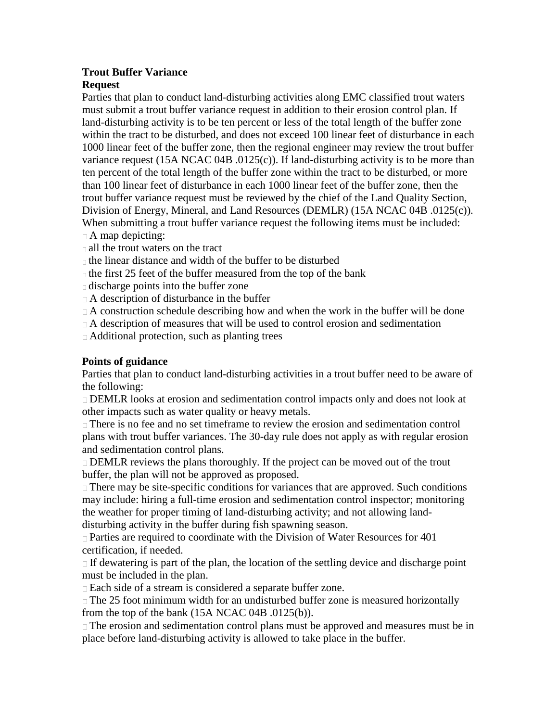## **Trout Buffer Variance Request**

Parties that plan to conduct land-disturbing activities along EMC classified trout waters must submit a trout buffer variance request in addition to their erosion control plan. If land-disturbing activity is to be ten percent or less of the total length of the buffer zone within the tract to be disturbed, and does not exceed 100 linear feet of disturbance in each 1000 linear feet of the buffer zone, then the regional engineer may review the trout buffer variance request (15A NCAC 04B .0125(c)). If land-disturbing activity is to be more than ten percent of the total length of the buffer zone within the tract to be disturbed, or more than 100 linear feet of disturbance in each 1000 linear feet of the buffer zone, then the trout buffer variance request must be reviewed by the chief of the Land Quality Section, Division of Energy, Mineral, and Land Resources (DEMLR) (15A NCAC 04B .0125(c)). When submitting a trout buffer variance request the following items must be included:

- $\Box$  A map depicting:
- all the trout waters on the tract

 $\Box$  the linear distance and width of the buffer to be disturbed

 $\Box$  the first 25 feet of the buffer measured from the top of the bank

discharge points into the buffer zone

A description of disturbance in the buffer

 $\Box$  A construction schedule describing how and when the work in the buffer will be done

 $\Box$  A description of measures that will be used to control erosion and sedimentation

Additional protection, such as planting trees

# **Points of guidance**

Parties that plan to conduct land-disturbing activities in a trout buffer need to be aware of the following:

DEMLR looks at erosion and sedimentation control impacts only and does not look at other impacts such as water quality or heavy metals.

There is no fee and no set timeframe to review the erosion and sedimentation control plans with trout buffer variances. The 30-day rule does not apply as with regular erosion and sedimentation control plans.

 $\Box$  DEMLR reviews the plans thoroughly. If the project can be moved out of the trout buffer, the plan will not be approved as proposed.

 $\Box$  There may be site-specific conditions for variances that are approved. Such conditions may include: hiring a full-time erosion and sedimentation control inspector; monitoring the weather for proper timing of land-disturbing activity; and not allowing landdisturbing activity in the buffer during fish spawning season.

 $\Box$  Parties are required to coordinate with the Division of Water Resources for 401 certification, if needed.

 $\Box$  If dewatering is part of the plan, the location of the settling device and discharge point must be included in the plan.

Each side of a stream is considered a separate buffer zone.

 $\Box$  The 25 foot minimum width for an undisturbed buffer zone is measured horizontally from the top of the bank  $(15A NCAC 04B .0125(b))$ .

 $\Box$  The erosion and sedimentation control plans must be approved and measures must be in place before land-disturbing activity is allowed to take place in the buffer.